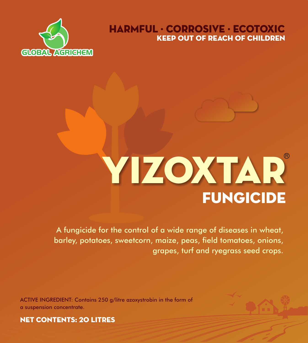

# KEEP OUT OF REACH OF CHILDREN HARMFUL · CORROSIVE · ECOTOXIC

# **FUNGICIDE** YIZOXTAR

A fungicide for the control of a wide range of diseases in wheat, barley, potatoes, sweetcorn, maize, peas, field tomatoes, onions, grapes, turf and ryegrass seed crops.

ACTIVE INGREDIENT: Contains 250 g/litre azoxystrobin in the form of a suspension concentrate.



NET CONTENTS: 20 LITRES